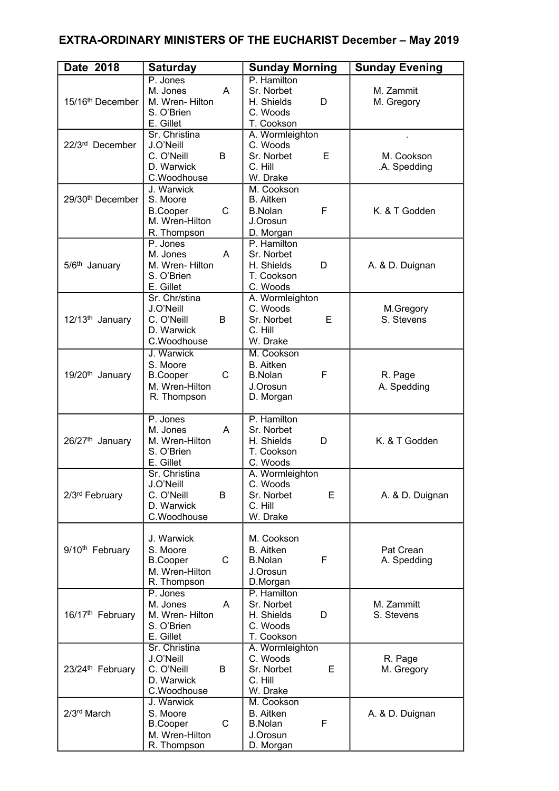## **EXTRA-ORDINARY MINISTERS OF THE EUCHARIST December – May 2019**

| Date 2018                    | <b>Saturday</b>                                                                            | <b>Sunday Morning</b>                                                          | <b>Sunday Evening</b>      |
|------------------------------|--------------------------------------------------------------------------------------------|--------------------------------------------------------------------------------|----------------------------|
| 15/16 <sup>th</sup> December | P. Jones<br>M. Jones<br>A<br>M. Wren-Hilton<br>S. O'Brien<br>E. Gillet                     | P. Hamilton<br>Sr. Norbet<br>H. Shields<br>D<br>C. Woods<br>T. Cookson         | M. Zammit<br>M. Gregory    |
| 22/3rd December              | Sr. Christina<br>J.O'Neill<br>C. O'Neill<br>B<br>D. Warwick<br>C.Woodhouse                 | A. Wormleighton<br>C. Woods<br>E<br>Sr. Norbet<br>C. Hill<br>W. Drake          | M. Cookson<br>.A. Spedding |
| 29/30 <sup>th</sup> December | J. Warwick<br>S. Moore<br>$\mathsf{C}$<br><b>B.Cooper</b><br>M. Wren-Hilton<br>R. Thompson | M. Cookson<br><b>B.</b> Aitken<br>F<br><b>B.Nolan</b><br>J.Orosun<br>D. Morgan | K. & T Godden              |
| 5/6 <sup>th</sup> January    | P. Jones<br>M. Jones<br>A<br>M. Wren-Hilton<br>S. O'Brien<br>E. Gillet                     | P. Hamilton<br>Sr. Norbet<br>H. Shields<br>D<br>T. Cookson<br>C. Woods         | A. & D. Duignan            |
| 12/13 <sup>th</sup> January  | Sr. Chr/stina<br>J.O'Neill<br>C. O'Neill<br>B<br>D. Warwick<br>C.Woodhouse                 | A. Wormleighton<br>C. Woods<br>Sr. Norbet<br>E<br>C. Hill<br>W. Drake          | M.Gregory<br>S. Stevens    |
| 19/20 <sup>th</sup> January  | J. Warwick<br>S. Moore<br>C<br><b>B.Cooper</b><br>M. Wren-Hilton<br>R. Thompson            | M. Cookson<br><b>B.</b> Aitken<br>F<br><b>B.Nolan</b><br>J.Orosun<br>D. Morgan | R. Page<br>A. Spedding     |
| 26/27 <sup>th</sup> January  | P. Jones<br>M. Jones<br>A<br>M. Wren-Hilton<br>S. O'Brien<br>E. Gillet                     | P. Hamilton<br>Sr. Norbet<br>H. Shields<br>D<br>T. Cookson<br>C. Woods         | K. & T Godden              |
| 2/3rd February               | Sr. Christina<br>J.O'Neill<br>C. O'Neill<br>B<br>D. Warwick<br>C.Woodhouse                 | A. Wormleighton<br>C. Woods<br>Sr. Norbet<br>E<br>C. Hill<br>W. Drake          | A. & D. Duignan            |
| 9/10 <sup>th</sup> February  | J. Warwick<br>S. Moore<br>$\mathsf{C}$<br><b>B.Cooper</b><br>M. Wren-Hilton<br>R. Thompson | M. Cookson<br><b>B.</b> Aitken<br>F<br><b>B.Nolan</b><br>J.Orosun<br>D.Morgan  | Pat Crean<br>A. Spedding   |
| 16/17 <sup>th</sup> February | P. Jones<br>M. Jones<br>A<br>M. Wren-Hilton<br>S. O'Brien<br>E. Gillet                     | P. Hamilton<br>Sr. Norbet<br>H. Shields<br>D<br>C. Woods<br>T. Cookson         | M. Zammitt<br>S. Stevens   |
| 23/24 <sup>th</sup> February | Sr. Christina<br>J.O'Neill<br>C. O'Neill<br>B<br>D. Warwick<br>C.Woodhouse                 | A. Wormleighton<br>C. Woods<br>E<br>Sr. Norbet<br>C. Hill<br>W. Drake          | R. Page<br>M. Gregory      |
| 2/3 <sup>rd</sup> March      | J. Warwick<br>S. Moore<br>$\mathsf{C}$<br><b>B.Cooper</b><br>M. Wren-Hilton<br>R. Thompson | M. Cookson<br><b>B.</b> Aitken<br>F<br><b>B.Nolan</b><br>J.Orosun<br>D. Morgan | A. & D. Duignan            |